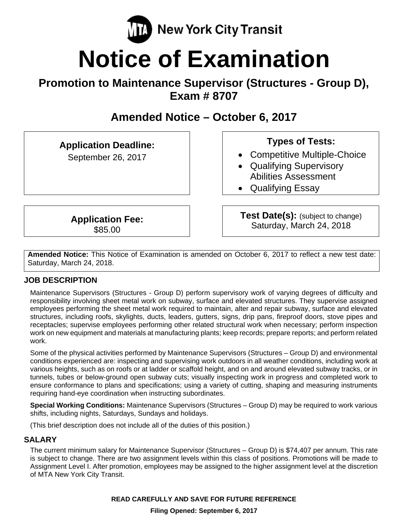

# **Notice of Examination**

# **Promotion to Maintenance Supervisor (Structures - Group D), Exam # 8707**

# **Amended Notice – October 6, 2017**

**Application Deadline:** 

September 26, 2017

# **Types of Tests:**

- Competitive Multiple-Choice
- Qualifying Supervisory Abilities Assessment
- Qualifying Essay

**Application Fee:**  \$85.00

**Test Date(s):** (subject to change) Saturday, March 24, 2018

**Amended Notice:** This Notice of Examination is amended on October 6, 2017 to reflect a new test date: Saturday, March 24, 2018.

# **JOB DESCRIPTION**

Maintenance Supervisors (Structures - Group D) perform supervisory work of varying degrees of difficulty and responsibility involving sheet metal work on subway, surface and elevated structures. They supervise assigned employees performing the sheet metal work required to maintain, alter and repair subway, surface and elevated structures, including roofs, skylights, ducts, leaders, gutters, signs, drip pans, fireproof doors, stove pipes and receptacles; supervise employees performing other related structural work when necessary; perform inspection work on new equipment and materials at manufacturing plants; keep records; prepare reports; and perform related work.

Some of the physical activities performed by Maintenance Supervisors (Structures – Group D) and environmental conditions experienced are: inspecting and supervising work outdoors in all weather conditions, including work at various heights, such as on roofs or at ladder or scaffold height, and on and around elevated subway tracks, or in tunnels, tubes or below-ground open subway cuts; visually inspecting work in progress and completed work to ensure conformance to plans and specifications; using a variety of cutting, shaping and measuring instruments requiring hand-eye coordination when instructing subordinates.

**Special Working Conditions:** Maintenance Supervisors (Structures – Group D) may be required to work various shifts, including nights, Saturdays, Sundays and holidays.

(This brief description does not include all of the duties of this position.)

# **SALARY**

The current minimum salary for Maintenance Supervisor (Structures – Group D) is \$74,407 per annum. This rate is subject to change. There are two assignment levels within this class of positions. Promotions will be made to Assignment Level I. After promotion, employees may be assigned to the higher assignment level at the discretion of MTA New York City Transit.

**READ CAREFULLY AND SAVE FOR FUTURE REFERENCE**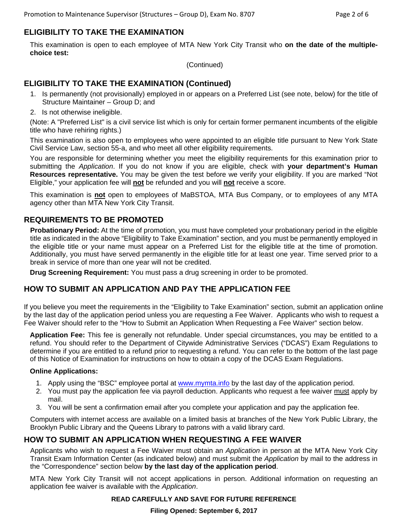# **ELIGIBILITY TO TAKE THE EXAMINATION**

This examination is open to each employee of MTA New York City Transit who **on the date of the multiplechoice test:** 

(Continued)

## **ELIGIBILITY TO TAKE THE EXAMINATION (Continued)**

- 1. Is permanently (not provisionally) employed in or appears on a Preferred List (see note, below) for the title of Structure Maintainer – Group D; and
- 2. Is not otherwise ineligible.

(Note: A "Preferred List" is a civil service list which is only for certain former permanent incumbents of the eligible title who have rehiring rights.)

This examination is also open to employees who were appointed to an eligible title pursuant to New York State Civil Service Law, section 55-a, and who meet all other eligibility requirements.

You are responsible for determining whether you meet the eligibility requirements for this examination prior to submitting the *Application*. If you do not know if you are eligible, check with **your department's Human Resources representative.** You may be given the test before we verify your eligibility. If you are marked "Not Eligible," your application fee will **not** be refunded and you will **not** receive a score.

This examination is **not** open to employees of MaBSTOA, MTA Bus Company, or to employees of any MTA agency other than MTA New York City Transit.

#### **REQUIREMENTS TO BE PROMOTED**

**Probationary Period:** At the time of promotion, you must have completed your probationary period in the eligible title as indicated in the above "Eligibility to Take Examination" section, and you must be permanently employed in the eligible title or your name must appear on a Preferred List for the eligible title at the time of promotion. Additionally, you must have served permanently in the eligible title for at least one year. Time served prior to a break in service of more than one year will not be credited.

**Drug Screening Requirement:** You must pass a drug screening in order to be promoted.

#### **HOW TO SUBMIT AN APPLICATION AND PAY THE APPLICATION FEE**

If you believe you meet the requirements in the "Eligibility to Take Examination" section, submit an application online by the last day of the application period unless you are requesting a Fee Waiver. Applicants who wish to request a Fee Waiver should refer to the "How to Submit an Application When Requesting a Fee Waiver" section below.

**Application Fee:** This fee is generally not refundable. Under special circumstances, you may be entitled to a refund. You should refer to the Department of Citywide Administrative Services ("DCAS") Exam Regulations to determine if you are entitled to a refund prior to requesting a refund. You can refer to the bottom of the last page of this Notice of Examination for instructions on how to obtain a copy of the DCAS Exam Regulations.

#### **Online Applications:**

- 1. Apply using the "BSC" employee portal at www.mymta.info by the last day of the application period.
- 2. You must pay the application fee via payroll deduction. Applicants who request a fee waiver must apply by mail.
- 3. You will be sent a confirmation email after you complete your application and pay the application fee.

Computers with internet access are available on a limited basis at branches of the New York Public Library, the Brooklyn Public Library and the Queens Library to patrons with a valid library card.

#### **HOW TO SUBMIT AN APPLICATION WHEN REQUESTING A FEE WAIVER**

Applicants who wish to request a Fee Waiver must obtain an *Application* in person at the MTA New York City Transit Exam Information Center (as indicated below) and must submit the *Application* by mail to the address in the "Correspondence" section below **by the last day of the application period**.

MTA New York City Transit will not accept applications in person. Additional information on requesting an application fee waiver is available with the *Application*.

#### **READ CAREFULLY AND SAVE FOR FUTURE REFERENCE**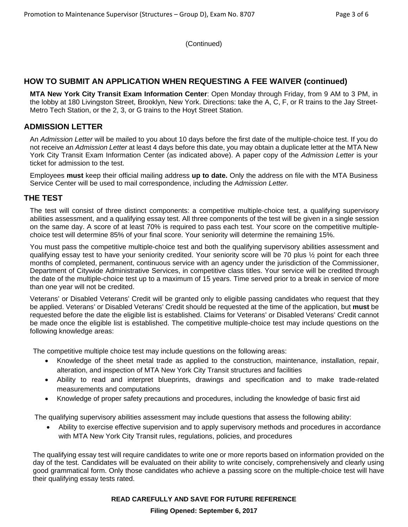(Continued)

#### **HOW TO SUBMIT AN APPLICATION WHEN REQUESTING A FEE WAIVER (continued)**

**MTA New York City Transit Exam Information Center**: Open Monday through Friday, from 9 AM to 3 PM, in the lobby at 180 Livingston Street, Brooklyn, New York. Directions: take the A, C, F, or R trains to the Jay Street-Metro Tech Station, or the 2, 3, or G trains to the Hoyt Street Station.

## **ADMISSION LETTER**

An *Admission Letter* will be mailed to you about 10 days before the first date of the multiple-choice test. If you do not receive an *Admission Letter* at least 4 days before this date, you may obtain a duplicate letter at the MTA New York City Transit Exam Information Center (as indicated above). A paper copy of the *Admission Letter* is your ticket for admission to the test.

Employees **must** keep their official mailing address **up to date.** Only the address on file with the MTA Business Service Center will be used to mail correspondence, including the *Admission Letter.*

#### **THE TEST**

The test will consist of three distinct components: a competitive multiple-choice test, a qualifying supervisory abilities assessment, and a qualifying essay test. All three components of the test will be given in a single session on the same day. A score of at least 70% is required to pass each test. Your score on the competitive multiplechoice test will determine 85% of your final score. Your seniority will determine the remaining 15%.

You must pass the competitive multiple-choice test and both the qualifying supervisory abilities assessment and qualifying essay test to have your seniority credited. Your seniority score will be 70 plus ½ point for each three months of completed, permanent, continuous service with an agency under the jurisdiction of the Commissioner, Department of Citywide Administrative Services, in competitive class titles. Your service will be credited through the date of the multiple-choice test up to a maximum of 15 years. Time served prior to a break in service of more than one year will not be credited.

Veterans' or Disabled Veterans' Credit will be granted only to eligible passing candidates who request that they be applied. Veterans' or Disabled Veterans' Credit should be requested at the time of the application, but **must** be requested before the date the eligible list is established. Claims for Veterans' or Disabled Veterans' Credit cannot be made once the eligible list is established. The competitive multiple-choice test may include questions on the following knowledge areas:

The competitive multiple choice test may include questions on the following areas:

- Knowledge of the sheet metal trade as applied to the construction, maintenance, installation, repair, alteration, and inspection of MTA New York City Transit structures and facilities
- Ability to read and interpret blueprints, drawings and specification and to make trade-related measurements and computations
- Knowledge of proper safety precautions and procedures, including the knowledge of basic first aid

The qualifying supervisory abilities assessment may include questions that assess the following ability:

 Ability to exercise effective supervision and to apply supervisory methods and procedures in accordance with MTA New York City Transit rules, regulations, policies, and procedures

The qualifying essay test will require candidates to write one or more reports based on information provided on the day of the test. Candidates will be evaluated on their ability to write concisely, comprehensively and clearly using good grammatical form. Only those candidates who achieve a passing score on the multiple-choice test will have their qualifying essay tests rated.

#### **READ CAREFULLY AND SAVE FOR FUTURE REFERENCE**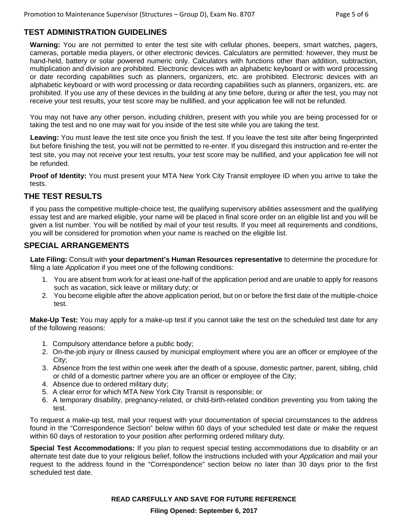## **TEST ADMINISTRATION GUIDELINES**

**Warning:** You are not permitted to enter the test site with cellular phones, beepers, smart watches, pagers, cameras, portable media players, or other electronic devices. Calculators are permitted: however, they must be hand-held, battery or solar powered numeric only. Calculators with functions other than addition, subtraction, multiplication and division are prohibited. Electronic devices with an alphabetic keyboard or with word processing or date recording capabilities such as planners, organizers, etc. are prohibited. Electronic devices with an alphabetic keyboard or with word processing or data recording capabilities such as planners, organizers, etc. are prohibited. If you use any of these devices in the building at any time before, during or after the test, you may not receive your test results, your test score may be nullified, and your application fee will not be refunded.

You may not have any other person, including children, present with you while you are being processed for or taking the test and no one may wait for you inside of the test site while you are taking the test.

**Leaving:** You must leave the test site once you finish the test. If you leave the test site after being fingerprinted but before finishing the test, you will not be permitted to re-enter. If you disregard this instruction and re-enter the test site, you may not receive your test results, your test score may be nullified, and your application fee will not be refunded.

**Proof of Identity:** You must present your MTA New York City Transit employee ID when you arrive to take the tests.

#### **THE TEST RESULTS**

If you pass the competitive multiple-choice test, the qualifying supervisory abilities assessment and the qualifying essay test and are marked eligible, your name will be placed in final score order on an eligible list and you will be given a list number. You will be notified by mail of your test results. If you meet all requirements and conditions, you will be considered for promotion when your name is reached on the eligible list.

#### **SPECIAL ARRANGEMENTS**

**Late Filing:** Consult with **your department's Human Resources representative** to determine the procedure for filing a late *Application* if you meet one of the following conditions:

- 1. You are absent from work for at least one-half of the application period and are unable to apply for reasons such as vacation, sick leave or military duty; or
- 2. You become eligible after the above application period, but on or before the first date of the multiple-choice test.

**Make-Up Test:** You may apply for a make-up test if you cannot take the test on the scheduled test date for any of the following reasons:

- 1. Compulsory attendance before a public body;
- 2. On-the-job injury or illness caused by municipal employment where you are an officer or employee of the City;
- 3. Absence from the test within one week after the death of a spouse, domestic partner, parent, sibling, child or child of a domestic partner where you are an officer or employee of the City;
- 4. Absence due to ordered military duty;
- 5. A clear error for which MTA New York City Transit is responsible; or
- 6. A temporary disability, pregnancy-related, or child-birth-related condition preventing you from taking the test.

To request a make-up test, mail your request with your documentation of special circumstances to the address found in the "Correspondence Section" below within 60 days of your scheduled test date or make the request within 60 days of restoration to your position after performing ordered military duty.

**Special Test Accommodations:** If you plan to request special testing accommodations due to disability or an alternate test date due to your religious belief, follow the instructions included with your *Application* and mail your request to the address found in the "Correspondence" section below no later than 30 days prior to the first scheduled test date.

**READ CAREFULLY AND SAVE FOR FUTURE REFERENCE**